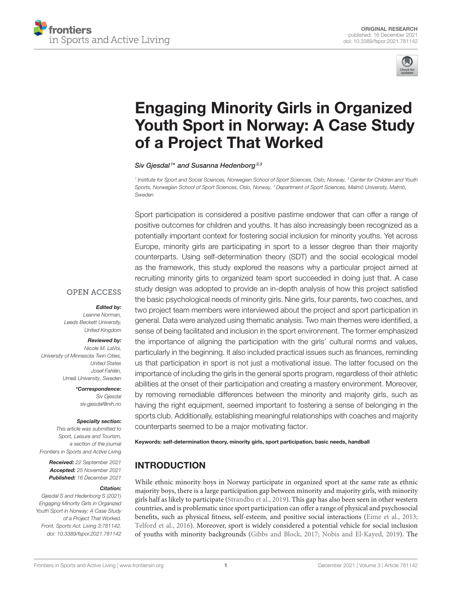



# Engaging Minority Girls in Organized [Youth Sport in Norway: A Case Study](https://www.frontiersin.org/articles/10.3389/fspor.2021.781142/full) of a Project That Worked

Siv Gjesdal<sup>1\*</sup> and Susanna Hedenborg<sup>2,3</sup>

<sup>1</sup> Institute for Sport and Social Sciences, Norwegian School of Sport Sciences, Oslo, Norway, <sup>2</sup> Center for Children and Youth Sports, Norwegian School of Sport Sciences, Oslo, Norway, <sup>3</sup> Department of Sport Sciences, Malmö University, Malmö, Sweden

Sport participation is considered a positive pastime endower that can offer a range of positive outcomes for children and youths. It has also increasingly been recognized as a potentially important context for fostering social inclusion for minority youths. Yet across Europe, minority girls are participating in sport to a lesser degree than their majority counterparts. Using self-determination theory (SDT) and the social ecological model as the framework, this study explored the reasons why a particular project aimed at recruiting minority girls to organized team sport succeeded in doing just that. A case study design was adopted to provide an in-depth analysis of how this project satisfied the basic psychological needs of minority girls. Nine girls, four parents, two coaches, and two project team members were interviewed about the project and sport participation in general. Data were analyzed using thematic analysis. Two main themes were identified, a sense of being facilitated and inclusion in the sport environment. The former emphasized the importance of aligning the participation with the girls' cultural norms and values, particularly in the beginning. It also included practical issues such as finances, reminding us that participation in sport is not just a motivational issue. The latter focused on the importance of including the girls in the general sports program, regardless of their athletic abilities at the onset of their participation and creating a mastery environment. Moreover, by removing remediable differences between the minority and majority girls, such as having the right equipment, seemed important to fostering a sense of belonging in the sports club. Additionally, establishing meaningful relationships with coaches and majority counterparts seemed to be a major motivating factor.

Keywords: self-determination theory, minority girls, sport participation, basic needs, handball

# INTRODUCTION

While ethnic minority boys in Norway participate in organized sport at the same rate as ethnic majority boys, there is a large participation gap between minority and majority girls, with minority girls half as likely to participate [\(Strandbu et al., 2019\)](#page-10-0). This gap has also been seen in other western countries, and is problematic since sport participation can offer a range of physical and psychosocial benefits, such as physical fitness, self-esteem, and positive social interactions [\(Eime et al., 2013;](#page-9-0) [Telford et al., 2016\)](#page-10-1). Moreover, sport is widely considered a potential vehicle for social inclusion of youths with minority backgrounds [\(Gibbs and Block, 2017;](#page-9-1) [Nobis and El-Kayed, 2019\)](#page-10-2). The

#### **OPEN ACCESS**

#### Edited by:

Leanne Norman, Leeds Beckett University, United Kingdom

#### Reviewed by:

Nicole M. LaVoi, University of Minnesota Twin Cities, United States Josef Fahlén, Umeå University, Sweden

> \*Correspondence: Siv Gjesdal [siv.gjesdal@nih.no](mailto:siv.gjesdal@nih.no)

#### Specialty section:

This article was submitted to Sport, Leisure and Tourism, a section of the journal Frontiers in Sports and Active Living

> Received: 22 September 2021 Accepted: 25 November 2021 Published: 16 December 2021

#### Citation:

Gjesdal S and Hedenborg S (2021) Engaging Minority Girls in Organized Youth Sport in Norway: A Case Study of a Project That Worked. Front. Sports Act. Living 3:781142. doi: [10.3389/fspor.2021.781142](https://doi.org/10.3389/fspor.2021.781142)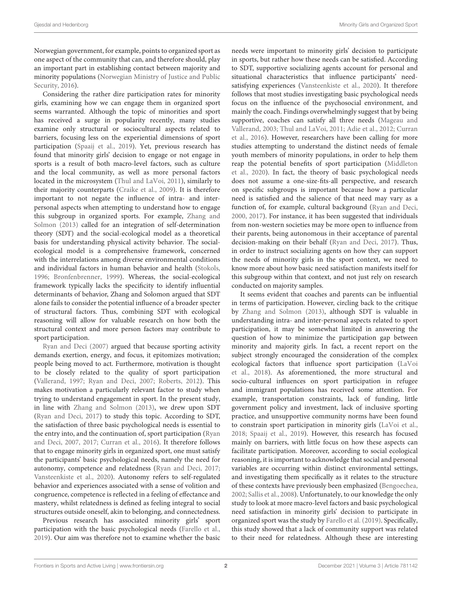Norwegian government, for example, points to organized sport as one aspect of the community that can, and therefore should, play an important part in establishing contact between majority and minority populations (Norwegian Ministry of Justice and Public Security, [2016\)](#page-10-3).

Considering the rather dire participation rates for minority girls, examining how we can engage them in organized sport seems warranted. Although the topic of minorities and sport has received a surge in popularity recently, many studies examine only structural or sociocultural aspects related to barriers, focusing less on the experiential dimensions of sport participation [\(Spaaij et al., 2019\)](#page-10-4). Yet, previous research has found that minority girls' decision to engage or not engage in sports is a result of both macro-level factors, such as culture and the local community, as well as more personal factors located in the microsystem [\(Thul and LaVoi, 2011\)](#page-10-5), similarly to their majority counterparts [\(Craike et al., 2009\)](#page-9-2). It is therefore important to not negate the influence of intra- and interpersonal aspects when attempting to understand how to engage this subgroup in organized sports. For example, Zhang and Solmon [\(2013\)](#page-10-6) called for an integration of self-determination theory (SDT) and the social-ecological model as a theoretical basis for understanding physical activity behavior. The socialecological model is a comprehensive framework, concerned with the interrelations among diverse environmental conditions and individual factors in human behavior and health [\(Stokols,](#page-10-7) [1996;](#page-10-7) [Bronfenbrenner, 1999\)](#page-9-3). Whereas, the social-ecological framework typically lacks the specificity to identify influential determinants of behavior, Zhang and Solomon argued that SDT alone fails to consider the potential influence of a broader specter of structural factors. Thus, combining SDT with ecological reasoning will allow for valuable research on how both the structural context and more person factors may contribute to sport participation.

[Ryan and Deci \(2007\)](#page-10-8) argued that because sporting activity demands exertion, energy, and focus, it epitomizes motivation; people being moved to act. Furthermore, motivation is thought to be closely related to the quality of sport participation [\(Vallerand, 1997;](#page-10-9) [Ryan and Deci, 2007;](#page-10-8) [Roberts, 2012\)](#page-10-10). This makes motivation a particularly relevant factor to study when trying to understand engagement in sport. In the present study, in line with [Zhang and Solmon \(2013\)](#page-10-6), we drew upon SDT [\(Ryan and Deci, 2017\)](#page-10-11) to study this topic. According to SDT, the satisfaction of three basic psychological needs is essential to the entry into, and the continuation of, sport participation (Ryan and Deci, [2007,](#page-10-8) [2017;](#page-10-11) [Curran et al., 2016\)](#page-9-4). It therefore follows that to engage minority girls in organized sport, one must satisfy the participants' basic psychological needs, namely the need for autonomy, competence and relatedness [\(Ryan and Deci, 2017;](#page-10-11) [Vansteenkiste et al., 2020\)](#page-10-12). Autonomy refers to self-regulated behavior and experiences associated with a sense of volition and congruence, competence is reflected in a feeling of effectance and mastery, whilst relatedness is defined as feeling integral to social structures outside oneself, akin to belonging, and connectedness.

Previous research has associated minority girls' sport participation with the basic psychological needs [\(Farello et al.,](#page-9-5) [2019\)](#page-9-5). Our aim was therefore not to examine whether the basic needs were important to minority girls' decision to participate in sports, but rather how these needs can be satisfied. According to SDT, supportive socializing agents account for personal and situational characteristics that influence participants' needsatisfying experiences [\(Vansteenkiste et al., 2020\)](#page-10-12). It therefore follows that most studies investigating basic psychological needs focus on the influence of the psychosocial environment, and mainly the coach. Findings overwhelmingly suggest that by being supportive, coaches can satisfy all three needs (Mageau and Vallerand, [2003;](#page-10-13) [Thul and LaVoi, 2011;](#page-10-5) [Adie et al., 2012;](#page-9-6) Curran et al., [2016\)](#page-9-4). However, researchers have been calling for more studies attempting to understand the distinct needs of female youth members of minority populations, in order to help them reap the potential benefits of sport participation (Middleton et al., [2020\)](#page-10-14). In fact, the theory of basic psychological needs does not assume a one-size-fits-all perspective, and research on specific subgroups is important because how a particular need is satisfied and the salience of that need may vary as a function of, for example, cultural background [\(Ryan and Deci,](#page-10-15) [2000,](#page-10-15) [2017\)](#page-10-11). For instance, it has been suggested that individuals from non-western societies may be more open to influence from their parents, being autonomous in their acceptance of parental decision-making on their behalf [\(Ryan and Deci, 2017\)](#page-10-11). Thus, in order to instruct socializing agents on how they can support the needs of minority girls in the sport context, we need to know more about how basic need satisfaction manifests itself for this subgroup within that context, and not just rely on research conducted on majority samples.

It seems evident that coaches and parents can be influential in terms of participation. However, circling back to the critique by [Zhang and Solmon \(2013\)](#page-10-6), although SDT is valuable in understanding intra- and inter-personal aspects related to sport participation, it may be somewhat limited in answering the question of how to minimize the participation gap between minority and majority girls. In fact, a recent report on the subject strongly encouraged the consideration of the complex ecological factors that influence sport participation (LaVoi et al., [2018\)](#page-10-16). As aforementioned, the more structural and socio-cultural influences on sport participation in refugee and immigrant populations has received some attention. For example, transportation constraints, lack of funding, little government policy and investment, lack of inclusive sporting practice, and unsupportive community norms have been found to constrain sport participation in minority girls [\(LaVoi et al.,](#page-10-16) [2018;](#page-10-16) [Spaaij et al., 2019\)](#page-10-4). However, this research has focused mainly on barriers, with little focus on how these aspects can facilitate participation. Moreover, according to social ecological reasoning, it is important to acknowledge that social and personal variables are occurring within distinct environmental settings, and investigating them specifically as it relates to the structure of these contexts have previously been emphasized [\(Bengoechea,](#page-9-7) [2002;](#page-9-7) [Sallis et al., 2008\)](#page-10-17). Unfortunately, to our knowledge the only study to look at more macro-level factors and basic psychological need satisfaction in minority girls' decision to participate in organized sport was the study by [Farello et al. \(2019\)](#page-9-5). Specifically, this study showed that a lack of community support was related to their need for relatedness. Although these are interesting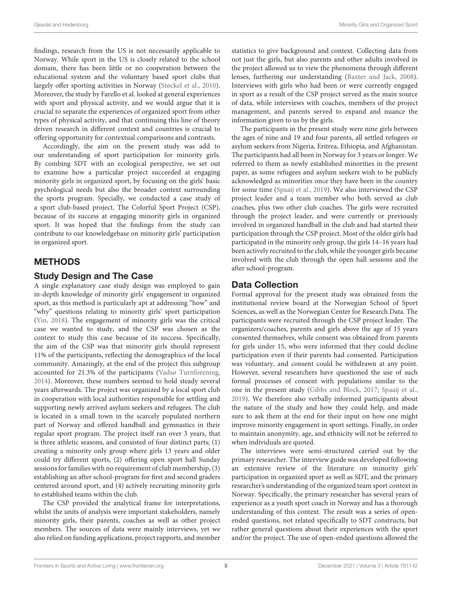findings, research from the US is not necessarily applicable to Norway. While sport in the US is closely related to the school domain, there has been little or no cooperation between the educational system and the voluntary based sport clubs that largely offer sporting activities in Norway [\(Støckel et al., 2010\)](#page-10-18). Moreover, the study by Farello et al. looked at general experiences with sport and physical activity, and we would argue that it is crucial to separate the experiences of organized sport from other types of physical activity, and that continuing this line of theory driven research in different context and countries is crucial to offering opportunity for contextual comparisons and contrasts.

Accordingly, the aim on the present study was add to our understanding of sport participation for minority girls. By combing SDT with an ecological perspective, we set out to examine how a particular project succeeded at engaging minority girls in organized sport, by focusing on the girls' basic psychological needs but also the broader context surrounding the sports program. Specially, we conducted a case study of a sport club-based project, The Colorful Sport Project (CSP), because of its success at engaging minority girls in organized sport. It was hoped that the findings from the study can contribute to our knowledgebase on minority girls' participation in organized sport.

## METHODS

#### Study Design and The Case

A single explanatory case study design was employed to gain in-depth knowledge of minority girls' engagement in organized sport, as this method is particularly apt at addressing "how" and "why" questions relating to minority girls' sport participation [\(Yin, 2018\)](#page-10-19). The engagement of minority girls was the critical case we wanted to study, and the CSP was chosen as the context to study this case because of its success. Specifically, the aim of the CSP was that minority girls should represent 11% of the participants, reflecting the demographics of the local community. Amazingly, at the end of the project this subgroup accounted for 21.3% of the participants [\(Vadsø Turnforening,](#page-10-20) [2014\)](#page-10-20). Moreover, these numbers seemed to hold steady several years afterwards. The project was organized by a local sport club in cooperation with local authorities responsible for settling and supporting newly arrived asylum seekers and refugees. The club is located in a small town in the scarcely populated northern part of Norway and offered handball and gymnastics in their regular sport program. The project itself ran over 3 years, that is three athletic seasons, and consisted of four distinct parts; (1) creating a minority only group where girls 13 years and older could try different sports, (2) offering open sport hall Sunday sessions for families with no requirement of club membership, (3) establishing an after school-program for first and second graders centered around sport, and (4) actively recruiting minority girls to established teams within the club.

The CSP provided the analytical frame for interpretations, whilst the units of analysis were important stakeholders, namely minority girls, their parents, coaches as well as other project members. The sources of data were mainly interviews, yet we also relied on funding applications, project rapports, and member statistics to give background and context. Collecting data from not just the girls, but also parents and other adults involved in the project allowed us to view the phenomena through different lenses, furthering our understanding [\(Baxter and Jack, 2008\)](#page-9-8). Interviews with girls who had been or were currently engaged in sport as a result of the CSP project served as the main source of data, while interviews with coaches, members of the project management, and parents served to expand and nuance the information given to us by the girls.

The participants in the present study were nine girls between the ages of nine and 19 and four parents, all settled refugees or asylum seekers from Nigeria, Eritrea, Ethiopia, and Afghanistan. The participants had all been in Norway for 3 years or longer. We referred to them as newly established minorities in the present paper, as some refugees and asylum seekers wish to be publicly acknowledged as minorities once they have been in the country for some time [\(Spaaij et al., 2019\)](#page-10-4). We also interviewed the CSP project leader and a team member who both served as club coaches, plus two other club coaches. The girls were recruited through the project leader, and were currently or previously involved in organized handball in the club and had started their participation through the CSP project. Most of the older girls had participated in the minority only group, the girls 14–16 years had been actively recruited to the club, while the younger girls became involved with the club through the open hall sessions and the after school-program.

#### Data Collection

Formal approval for the present study was obtained from the institutional review board at the Norwegian School of Sport Sciences, as well as the Norwegian Center for Research Data. The participants were recruited through the CSP project leader. The organizers/coaches, parents and girls above the age of 15 years consented themselves, while consent was obtained from parents for girls under 15, who were informed that they could decline participation even if their parents had consented. Participation was voluntary, and consent could be withdrawn at any point. However, several researchers have questioned the use of such formal processes of consent with populations similar to the one in the present study [\(Gibbs and Block, 2017;](#page-9-1) [Spaaij et al.,](#page-10-4) [2019\)](#page-10-4). We therefore also verbally informed participants about the nature of the study and how they could help, and made sure to ask them at the end for their input on how one might improve minority engagement in sport settings. Finally, in order to maintain anonymity, age, and ethnicity will not be referred to when individuals are quoted.

The interviews were semi-structured carried out by the primary researcher. The interview guide was developed following an extensive review of the literature on minority girls' participation in organized sport as well as SDT, and the primary researcher's understanding of the organized team sport context in Norway. Specifically, the primary researcher has several years of experience as a youth sport coach in Norway and has a thorough understanding of this context. The result was a series of openended questions, not related specifically to SDT constructs, but rather general questions about their experiences with the sport and/or the project. The use of open-ended questions allowed the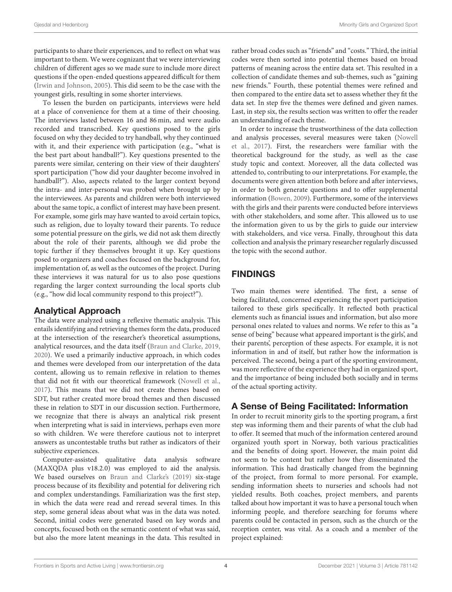participants to share their experiences, and to reflect on what was important to them. We were cognizant that we were interviewing children of different ages so we made sure to include more direct questions if the open-ended questions appeared difficult for them [\(Irwin and Johnson, 2005\)](#page-9-9). This did seem to be the case with the youngest girls, resulting in some shorter interviews.

To lessen the burden on participants, interviews were held at a place of convenience for them at a time of their choosing. The interviews lasted between 16 and 86 min, and were audio recorded and transcribed. Key questions posed to the girls focused on why they decided to try handball, why they continued with it, and their experience with participation (e.g., "what is the best part about handball?"). Key questions presented to the parents were similar, centering on their view of their daughters' sport participation ("how did your daughter become involved in handball?"). Also, aspects related to the larger context beyond the intra- and inter-personal was probed when brought up by the interviewees. As parents and children were both interviewed about the same topic, a conflict of interest may have been present. For example, some girls may have wanted to avoid certain topics, such as religion, due to loyalty toward their parents. To reduce some potential pressure on the girls, we did not ask them directly about the role of their parents, although we did probe the topic further if they themselves brought it up. Key questions posed to organizers and coaches focused on the background for, implementation of, as well as the outcomes of the project. During these interviews it was natural for us to also pose questions regarding the larger context surrounding the local sports club (e.g., "how did local community respond to this project?").

#### Analytical Approach

The data were analyzed using a reflexive thematic analysis. This entails identifying and retrieving themes form the data, produced at the intersection of the researcher's theoretical assumptions, analytical resources, and the data itself [\(Braun and Clarke, 2019,](#page-9-10) [2020\)](#page-9-11). We used a primarily inductive approach, in which codes and themes were developed from our interpretation of the data content, allowing us to remain reflexive in relation to themes that did not fit with our theoretical framework [\(Nowell et al.,](#page-10-21) [2017\)](#page-10-21). This means that we did not create themes based on SDT, but rather created more broad themes and then discussed these in relation to SDT in our discussion section. Furthermore, we recognize that there is always an analytical risk present when interpreting what is said in interviews, perhaps even more so with children. We were therefore cautious not to interpret answers as uncontestable truths but rather as indicators of their subjective experiences.

Computer-assisted qualitative data analysis software (MAXQDA plus v18.2.0) was employed to aid the analysis. We based ourselves on [Braun and Clarke's \(2019\)](#page-9-10) six-stage process because of its flexibility and potential for delivering rich and complex understandings. Familiarization was the first step, in which the data were read and reread several times. In this step, some general ideas about what was in the data was noted. Second, initial codes were generated based on key words and concepts, focused both on the semantic content of what was said, but also the more latent meanings in the data. This resulted in rather broad codes such as "friends" and "costs." Third, the initial codes were then sorted into potential themes based on broad patterns of meaning across the entire data set. This resulted in a collection of candidate themes and sub-themes, such as "gaining new friends." Fourth, these potential themes were refined and then compared to the entire data set to assess whether they fit the data set. In step five the themes were defined and given names. Last, in step six, the results section was written to offer the reader an understanding of each theme.

In order to increase the trustworthiness of the data collection and analysis processes, several measures were taken (Nowell et al., [2017\)](#page-10-21). First, the researchers were familiar with the theoretical background for the study, as well as the case study topic and context. Moreover, all the data collected was attended to, contributing to our interpretations. For example, the documents were given attention both before and after interviews, in order to both generate questions and to offer supplemental information [\(Bowen, 2009\)](#page-9-12). Furthermore, some of the interviews with the girls and their parents were conducted before interviews with other stakeholders, and some after. This allowed us to use the information given to us by the girls to guide our interview with stakeholders, and vice versa. Finally, throughout this data collection and analysis the primary researcher regularly discussed the topic with the second author.

# FINDINGS

Two main themes were identified. The first, a sense of being facilitated, concerned experiencing the sport participation tailored to these girls specifically. It reflected both practical elements such as financial issues and information, but also more personal ones related to values and norms. We refer to this as "a sense of being" because what appeared important is the girls', and their parents', perception of these aspects. For example, it is not information in and of itself, but rather how the information is perceived. The second, being a part of the sporting environment, was more reflective of the experience they had in organized sport, and the importance of being included both socially and in terms of the actual sporting activity.

# A Sense of Being Facilitated: Information

In order to recruit minority girls to the sporting program, a first step was informing them and their parents of what the club had to offer. It seemed that much of the information centered around organized youth sport in Norway, both various practicalities and the benefits of doing sport. However, the main point did not seem to be content but rather how they disseminated the information. This had drastically changed from the beginning of the project, from formal to more personal. For example, sending information sheets to nurseries and schools had not yielded results. Both coaches, project members, and parents talked about how important it was to have a personal touch when informing people, and therefore searching for forums where parents could be contacted in person, such as the church or the reception center, was vital. As a coach and a member of the project explained: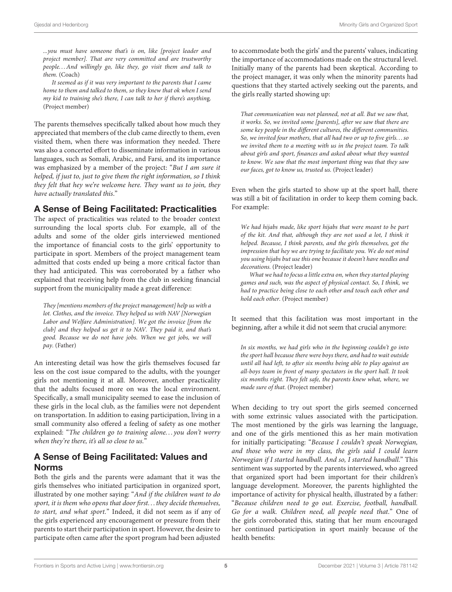...you must have someone that's is on, like [project leader and project member]. That are very committed and are trustworthy people. . . And willingly go, like they, go visit them and talk to them. (Coach)

It seemed as if it was very important to the parents that I came home to them and talked to them, so they knew that ok when I send my kid to training she's there, I can talk to her if there's anything. (Project member)

The parents themselves specifically talked about how much they appreciated that members of the club came directly to them, even visited them, when there was information they needed. There was also a concerted effort to disseminate information in various languages, such as Somali, Arabic, and Farsi, and its importance was emphasized by a member of the project: "But I am sure it helped, if just to, just to give them the right information, so I think they felt that hey we're welcome here. They want us to join, they have actually translated this."

#### A Sense of Being Facilitated: Practicalities

The aspect of practicalities was related to the broader context surrounding the local sports club. For example, all of the adults and some of the older girls interviewed mentioned the importance of financial costs to the girls' opportunity to participate in sport. Members of the project management team admitted that costs ended up being a more critical factor than they had anticipated. This was corroborated by a father who explained that receiving help from the club in seeking financial support from the municipality made a great difference:

They [mentions members of the project management] help us with a lot. Clothes, and the invoice. They helped us with NAV [Norwegian Labor and Welfare Administration]. We got the invoice [from the club] and they helped us get it to NAV. They paid it, and that's good. Because we do not have jobs. When we get jobs, we will pay. (Father)

An interesting detail was how the girls themselves focused far less on the cost issue compared to the adults, with the younger girls not mentioning it at all. Moreover, another practicality that the adults focused more on was the local environment. Specifically, a small municipality seemed to ease the inclusion of these girls in the local club, as the families were not dependent on transportation. In addition to easing participation, living in a small community also offered a feeling of safety as one mother explained: "The children go to training alone...you don't worry when they're there, it's all so close to us."

# A Sense of Being Facilitated: Values and Norms

Both the girls and the parents were adamant that it was the girls themselves who initiated participation in organized sport, illustrated by one mother saying: "And if the children want to do sport, it is them who opens that door first. . . they decide themselves, to start, and what sport." Indeed, it did not seem as if any of the girls experienced any encouragement or pressure from their parents to start their participation in sport. However, the desire to participate often came after the sport program had been adjusted to accommodate both the girls' and the parents' values, indicating the importance of accommodations made on the structural level. Initially many of the parents had been skeptical. According to the project manager, it was only when the minority parents had questions that they started actively seeking out the parents, and the girls really started showing up:

That communication was not planned, not at all. But we saw that, it works. So, we invited some [parents], after we saw that there are some key people in the different cultures, the different communities. So, we invited four mothers, that all had two or up to five girls. . .so we invited them to a meeting with us in the project team. To talk about girls and sport, finances and asked about what they wanted to know. We saw that the most important thing was that they saw our faces, got to know us, trusted us. (Project leader)

Even when the girls started to show up at the sport hall, there was still a bit of facilitation in order to keep them coming back. For example:

We had hijabs made, like sport hijabs that were meant to be part of the kit. And that, although they are not used a lot, I think it helped. Because, I think parents, and the girls themselves, got the impression that hey we are trying to facilitate you. We do not mind you using hijabs but use this one because it doesn't have needles and decorations. (Project leader)

What we had to focus a little extra on, when they started playing games and such, was the aspect of physical contact. So, I think, we had to practice being close to each other and touch each other and hold each other. (Project member)

It seemed that this facilitation was most important in the beginning, after a while it did not seem that crucial anymore:

In six months, we had girls who in the beginning couldn't go into the sport hall because there were boys there, and had to wait outside until all had left, to after six months being able to play against an all-boys team in front of many spectators in the sport hall. It took six months right. They felt safe, the parents knew what, where, we made sure of that. (Project member)

When deciding to try out sport the girls seemed concerned with some extrinsic values associated with the participation. The most mentioned by the girls was learning the language, and one of the girls mentioned this as her main motivation for initially participating: "Because I couldn't speak Norwegian, and those who were in my class, the girls said I could learn Norwegian if I started handball. And so, I started handball." This sentiment was supported by the parents interviewed, who agreed that organized sport had been important for their children's language development. Moreover, the parents highlighted the importance of activity for physical health, illustrated by a father: "Because children need to go out. Exercise, football, handball. Go for a walk. Children need, all people need that." One of the girls corroborated this, stating that her mum encouraged her continued participation in sport mainly because of the health benefits: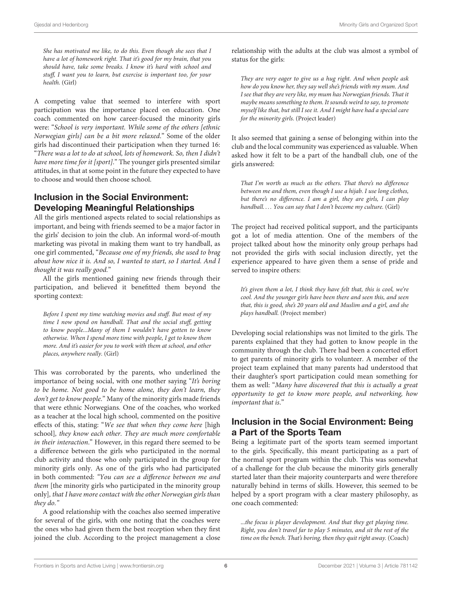She has motivated me like, to do this. Even though she sees that I have a lot of homework right. That it's good for my brain, that you should have, take some breaks. I know it's hard with school and stuff, I want you to learn, but exercise is important too, for your health. (Girl)

A competing value that seemed to interfere with sport participation was the importance placed on education. One coach commented on how career-focused the minority girls were: "School is very important. While some of the others [ethnic Norwegian girls] can be a bit more relaxed." Some of the older girls had discontinued their participation when they turned 16: "There was a lot to do at school, lots of homework. So, then I didn't have more time for it [sport]." The younger girls presented similar attitudes, in that at some point in the future they expected to have to choose and would then choose school.

## Inclusion in the Social Environment: Developing Meaningful Relationships

All the girls mentioned aspects related to social relationships as important, and being with friends seemed to be a major factor in the girls' decision to join the club. An informal word-of-mouth marketing was pivotal in making them want to try handball, as one girl commented, "Because one of my friends, she used to brag about how nice it is. And so, I wanted to start, so I started. And I thought it was really good."

All the girls mentioned gaining new friends through their participation, and believed it benefitted them beyond the sporting context:

Before I spent my time watching movies and stuff. But most of my time I now spend on handball. That and the social stuff, getting to know people...Many of them I wouldn't have gotten to know otherwise. When I spend more time with people, I get to know them more. And it's easier for you to work with them at school, and other places, anywhere really. (Girl)

This was corroborated by the parents, who underlined the importance of being social, with one mother saying "It's boring to be home. Not good to be home alone, they don't learn, they don't get to know people." Many of the minority girls made friends that were ethnic Norwegians. One of the coaches, who worked as a teacher at the local high school, commented on the positive effects of this, stating: "We see that when they come here [high school], they know each other. They are much more comfortable in their interaction." However, in this regard there seemed to be a difference between the girls who participated in the normal club activity and those who only participated in the group for minority girls only. As one of the girls who had participated in both commented: "You can see a difference between me and them [the minority girls who participated in the minority group only], that I have more contact with the other Norwegian girls than they do."

A good relationship with the coaches also seemed imperative for several of the girls, with one noting that the coaches were the ones who had given them the best reception when they first joined the club. According to the project management a close relationship with the adults at the club was almost a symbol of status for the girls:

They are very eager to give us a hug right. And when people ask how do you know her, they say well she's friends with my mum. And I see that they are very like, my mum has Norwegian friends. That it maybe means something to them. It sounds weird to say, to promote myself like that, but still I see it. And I might have had a special care for the minority girls. (Project leader)

It also seemed that gaining a sense of belonging within into the club and the local community was experienced as valuable. When asked how it felt to be a part of the handball club, one of the girls answered:

That I'm worth as much as the others. That there's no difference between me and them, even though I use a hijab. I use long clothes, but there's no difference. I am a girl, they are girls, I can play handball.... You can say that I don't become my culture. (Girl)

The project had received political support, and the participants got a lot of media attention. One of the members of the project talked about how the minority only group perhaps had not provided the girls with social inclusion directly, yet the experience appeared to have given them a sense of pride and served to inspire others:

It's given them a lot, I think they have felt that, this is cool, we're cool. And the younger girls have been there and seen this, and seen that, this is good, she's 20 years old and Muslim and a girl, and she plays handball. (Project member)

Developing social relationships was not limited to the girls. The parents explained that they had gotten to know people in the community through the club. There had been a concerted effort to get parents of minority girls to volunteer. A member of the project team explained that many parents had understood that their daughter's sport participation could mean something for them as well: "Many have discovered that this is actually a great opportunity to get to know more people, and networking, how important that is."

#### Inclusion in the Social Environment: Being a Part of the Sports Team

Being a legitimate part of the sports team seemed important to the girls. Specifically, this meant participating as a part of the normal sport program within the club. This was somewhat of a challenge for the club because the minority girls generally started later than their majority counterparts and were therefore naturally behind in terms of skills. However, this seemed to be helped by a sport program with a clear mastery philosophy, as one coach commented:

...the focus is player development. And that they get playing time. Right, you don't travel far to play 5 minutes, and sit the rest of the time on the bench. That's boring, then they quit right away. (Coach)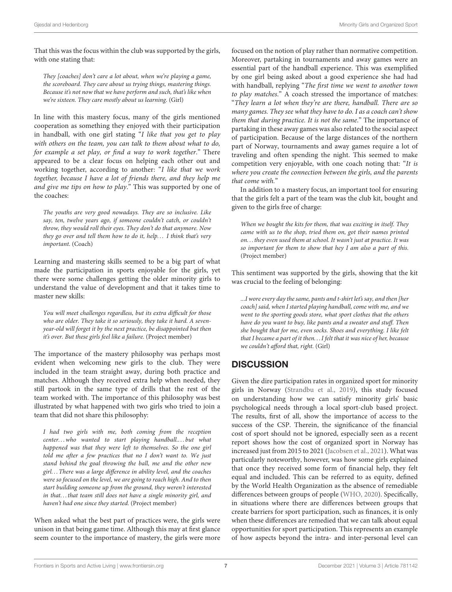That this was the focus within the club was supported by the girls, with one stating that:

They [coaches] don't care a lot about, when we're playing a game, the scoreboard. They care about us trying things, mastering things. Because it's not now that we have perform and such, that's like when we're sixteen. They care mostly about us learning. (Girl)

In line with this mastery focus, many of the girls mentioned cooperation as something they enjoyed with their participation in handball, with one girl stating "I like that you get to play with others on the team, you can talk to them about what to do, for example a set play, or find a way to work together." There appeared to be a clear focus on helping each other out and working together, according to another: "I like that we work together, because I have a lot of friends there, and they help me and give me tips on how to play." This was supported by one of the coaches:

The youths are very good nowadays. They are so inclusive. Like say, ten, twelve years ago, if someone couldn't catch, or couldn't throw, they would roll their eyes. They don't do that anymore. Now they go over and tell them how to do it, help... I think that's very important. (Coach)

Learning and mastering skills seemed to be a big part of what made the participation in sports enjoyable for the girls, yet there were some challenges getting the older minority girls to understand the value of development and that it takes time to master new skills:

You will meet challenges regardless, but its extra difficult for those who are older. They take it so seriously, they take it hard. A sevenyear-old will forget it by the next practice, be disappointed but then it's over. But these girls feel like a failure. (Project member)

The importance of the mastery philosophy was perhaps most evident when welcoming new girls to the club. They were included in the team straight away, during both practice and matches. Although they received extra help when needed, they still partook in the same type of drills that the rest of the team worked with. The importance of this philosophy was best illustrated by what happened with two girls who tried to join a team that did not share this philosophy:

I had two girls with me, both coming from the reception center...who wanted to start playing handball....but what happened was that they were left to themselves. So the one girl told me after a few practices that no I don't want to. We just stand behind the goal throwing the ball, me and the other new girl. . . There was a large difference in ability level, and the coaches were so focused on the level, we are going to reach high. And to then start building someone up from the ground, they weren't interested in that...that team still does not have a single minority girl, and haven't had one since they started. (Project member)

When asked what the best part of practices were, the girls were unison in that being game time. Although this may at first glance seem counter to the importance of mastery, the girls were more focused on the notion of play rather than normative competition. Moreover, partaking in tournaments and away games were an essential part of the handball experience. This was exemplified by one girl being asked about a good experience she had had with handball, replying "The first time we went to another town to play matches." A coach stressed the importance of matches: "They learn a lot when they're are there, handball. There are so many games. They see what they have to do. I as a coach can't show them that during practice. It is not the same." The importance of partaking in these away games was also related to the social aspect of participation. Because of the large distances of the northern part of Norway, tournaments and away games require a lot of traveling and often spending the night. This seemed to make competition very enjoyable, with one coach noting that: "It is where you create the connection between the girls, and the parents that come with."

In addition to a mastery focus, an important tool for ensuring that the girls felt a part of the team was the club kit, bought and given to the girls free of charge:

When we bought the kits for them, that was exciting in itself. They came with us to the shop, tried them on, got their names printed on. . . they even used them at school. It wasn't just at practice. It was so important for them to show that hey I am also a part of this. (Project member)

This sentiment was supported by the girls, showing that the kit was crucial to the feeling of belonging:

...I wore every day the same, pants and t-shirt let's say, and then [her coach] said, when I started playing handball, come with me, and we went to the sporting goods store, what sport clothes that the others have do you want to buy, like pants and a sweater and stuff. Then she bought that for me, even socks. Shoes and everything. I like felt that I became a part of it then. . . I felt that it was nice of her, because we couldn't afford that, right. (Girl)

# **DISCUSSION**

Given the dire participation rates in organized sport for minority girls in Norway [\(Strandbu et al., 2019\)](#page-10-0), this study focused on understanding how we can satisfy minority girls' basic psychological needs through a local sport-club based project. The results, first of all, show the importance of access to the success of the CSP. Therein, the significance of the financial cost of sport should not be ignored, especially seen as a recent report shows how the cost of organized sport in Norway has increased just from 2015 to 2021 [\(Jacobsen et al., 2021\)](#page-9-13). What was particularly noteworthy, however, was how some girls explained that once they received some form of financial help, they felt equal and included. This can be referred to as equity, defined by the World Health Organization as the absence of remediable differences between groups of people [\(WHO, 2020\)](#page-10-22). Specifically, in situations where there are differences between groups that create barriers for sport participation, such as finances, it is only when these differences are remedied that we can talk about equal opportunities for sport participation. This represents an example of how aspects beyond the intra- and inter-personal level can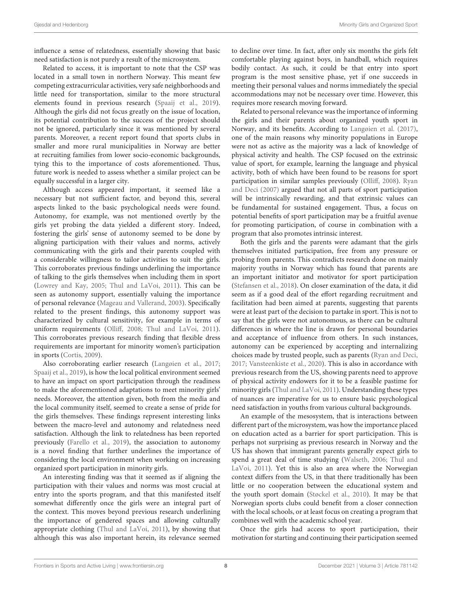influence a sense of relatedness, essentially showing that basic need satisfaction is not purely a result of the microsystem.

Related to access, it is important to note that the CSP was located in a small town in northern Norway. This meant few competing extracurricular activities, very safe neighborhoods and little need for transportation, similar to the more structural elements found in previous research [\(Spaaij et al., 2019\)](#page-10-4). Although the girls did not focus greatly on the issue of location, its potential contribution to the success of the project should not be ignored, particularly since it was mentioned by several parents. Moreover, a recent report found that sports clubs in smaller and more rural municipalities in Norway are better at recruiting families from lower socio-economic backgrounds, tying this to the importance of costs aforementioned. Thus, future work is needed to assess whether a similar project can be equally successful in a larger city.

Although access appeared important, it seemed like a necessary but not sufficient factor, and beyond this, several aspects linked to the basic psychological needs were found. Autonomy, for example, was not mentioned overtly by the girls yet probing the data yielded a different story. Indeed, fostering the girls' sense of autonomy seemed to be done by aligning participation with their values and norms, actively communicating with the girls and their parents coupled with a considerable willingness to tailor activities to suit the girls. This corroborates previous findings underlining the importance of talking to the girls themselves when including them in sport [\(Lowrey and Kay, 2005;](#page-10-23) [Thul and LaVoi, 2011\)](#page-10-5). This can be seen as autonomy support, essentially valuing the importance of personal relevance [\(Mageau and Vallerand, 2003\)](#page-10-13). Specifically related to the present findings, this autonomy support was characterized by cultural sensitivity, for example in terms of uniform requirements [\(Olliff, 2008;](#page-10-24) [Thul and LaVoi, 2011\)](#page-10-5). This corroborates previous research finding that flexible dress requirements are important for minority women's participation in sports [\(Cortis, 2009\)](#page-9-14).

Also corroborating earlier research [\(Langøien et al., 2017;](#page-9-15) [Spaaij et al., 2019\)](#page-10-4), is how the local political environment seemed to have an impact on sport participation through the readiness to make the aforementioned adaptations to meet minority girls' needs. Moreover, the attention given, both from the media and the local community itself, seemed to create a sense of pride for the girls themselves. These findings represent interesting links between the macro-level and autonomy and relatedness need satisfaction. Although the link to relatedness has been reported previously [\(Farello et al., 2019\)](#page-9-5), the association to autonomy is a novel finding that further underlines the importance of considering the local environment when working on increasing organized sport participation in minority girls.

An interesting finding was that it seemed as if aligning the participation with their values and norms was most crucial at entry into the sports program, and that this manifested itself somewhat differently once the girls were an integral part of the context. This moves beyond previous research underlining the importance of gendered spaces and allowing culturally appropriate clothing [\(Thul and LaVoi, 2011\)](#page-10-5), by showing that although this was also important herein, its relevance seemed to decline over time. In fact, after only six months the girls felt comfortable playing against boys, in handball, which requires bodily contact. As such, it could be that entry into sport program is the most sensitive phase, yet if one succeeds in meeting their personal values and norms immediately the special accommodations may not be necessary over time. However, this requires more research moving forward.

Related to personal relevance was the importance of informing the girls and their parents about organized youth sport in Norway, and its benefits. According to [Langøien et al. \(2017\)](#page-9-15), one of the main reasons why minority populations in Europe were not as active as the majority was a lack of knowledge of physical activity and health. The CSP focused on the extrinsic value of sport, for example, learning the language and physical activity, both of which have been found to be reasons for sport participation in similar samples previously [\(Olliff, 2008\)](#page-10-24). Ryan and Deci [\(2007\)](#page-10-8) argued that not all parts of sport participation will be intrinsically rewarding, and that extrinsic values can be fundamental for sustained engagement. Thus, a focus on potential benefits of sport participation may be a fruitful avenue for promoting participation, of course in combination with a program that also promotes intrinsic interest.

Both the girls and the parents were adamant that the girls themselves initiated participation, free from any pressure or probing from parents. This contradicts research done on mainly majority youths in Norway which has found that parents are an important initiator and motivator for sport participation [\(Stefansen et al., 2018\)](#page-10-25). On closer examination of the data, it did seem as if a good deal of the effort regarding recruitment and facilitation had been aimed at parents, suggesting that parents were at least part of the decision to partake in sport. This is not to say that the girls were not autonomous, as there can be cultural differences in where the line is drawn for personal boundaries and acceptance of influence from others. In such instances, autonomy can be experienced by accepting and internalizing choices made by trusted people, such as parents [\(Ryan and Deci,](#page-10-11) [2017;](#page-10-11) [Vansteenkiste et al., 2020\)](#page-10-12). This is also in accordance with previous research from the US, showing parents need to approve of physical activity endowers for it to be a feasible pastime for minority girls [\(Thul and LaVoi, 2011\)](#page-10-5). Understanding these types of nuances are imperative for us to ensure basic psychological need satisfaction in youths from various cultural backgrounds.

An example of the mesosystem, that is interactions between different part of the microsystem, was how the importance placed on education acted as a barrier for sport participation. This is perhaps not surprising as previous research in Norway and the US has shown that immigrant parents generally expect girls to spend a great deal of time studying [\(Walseth, 2006;](#page-10-26) Thul and LaVoi, [2011\)](#page-10-5). Yet this is also an area where the Norwegian context differs from the US, in that there traditionally has been little or no cooperation between the educational system and the youth sport domain [\(Støckel et al., 2010\)](#page-10-18). It may be that Norwegian sports clubs could benefit from a closer connection with the local schools, or at least focus on creating a program that combines well with the academic school year.

Once the girls had access to sport participation, their motivation for starting and continuing their participation seemed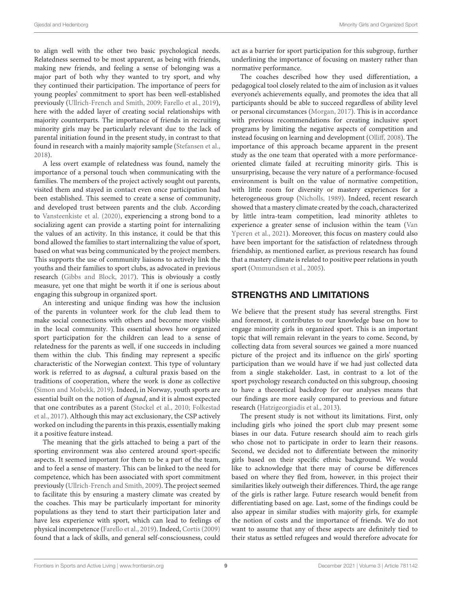to align well with the other two basic psychological needs. Relatedness seemed to be most apparent, as being with friends, making new friends, and feeling a sense of belonging was a major part of both why they wanted to try sport, and why they continued their participation. The importance of peers for young peoples' commitment to sport has been well-established previously [\(Ullrich-French and Smith, 2009;](#page-10-27) [Farello et al., 2019\)](#page-9-5), here with the added layer of creating social relationships with majority counterparts. The importance of friends in recruiting minority girls may be particularly relevant due to the lack of parental initiation found in the present study, in contrast to that found in research with a mainly majority sample [\(Stefansen et al.,](#page-10-25) [2018\)](#page-10-25).

A less overt example of relatedness was found, namely the importance of a personal touch when communicating with the families. The members of the project actively sought out parents, visited them and stayed in contact even once participation had been established. This seemed to create a sense of community, and developed trust between parents and the club. According to [Vansteenkiste et al. \(2020\)](#page-10-12), experiencing a strong bond to a socializing agent can provide a starting point for internalizing the values of an activity. In this instance, it could be that this bond allowed the families to start internalizing the value of sport, based on what was being communicated by the project members. This supports the use of community liaisons to actively link the youths and their families to sport clubs, as advocated in previous research [\(Gibbs and Block, 2017\)](#page-9-1). This is obviously a costly measure, yet one that might be worth it if one is serious about engaging this subgroup in organized sport.

An interesting and unique finding was how the inclusion of the parents in volunteer work for the club lead them to make social connections with others and become more visible in the local community. This essential shows how organized sport participation for the children can lead to a sense of relatedness for the parents as well, if one succeeds in including them within the club. This finding may represent a specific characteristic of the Norwegian context. This type of voluntary work is referred to as dugnad, a cultural praxis based on the traditions of cooperation, where the work is done as collective [\(Simon and Mobekk, 2019\)](#page-10-28). Indeed, in Norway, youth sports are essential built on the notion of dugnad, and it is almost expected that one contributes as a parent [\(Støckel et al., 2010;](#page-10-18) Folkestad et al., [2017\)](#page-9-16). Although this may act exclusionary, the CSP actively worked on including the parents in this praxis, essentially making it a positive feature instead.

The meaning that the girls attached to being a part of the sporting environment was also centered around sport-specific aspects. It seemed important for them to be a part of the team, and to feel a sense of mastery. This can be linked to the need for competence, which has been associated with sport commitment previously [\(Ullrich-French and Smith, 2009\)](#page-10-27). The project seemed to facilitate this by ensuring a mastery climate was created by the coaches. This may be particularly important for minority populations as they tend to start their participation later and have less experience with sport, which can lead to feelings of physical incompetence [\(Farello et al., 2019\)](#page-9-5). Indeed, [Cortis \(2009\)](#page-9-14) found that a lack of skills, and general self-consciousness, could act as a barrier for sport participation for this subgroup, further underlining the importance of focusing on mastery rather than normative performance.

The coaches described how they used differentiation, a pedagogical tool closely related to the aim of inclusion as it values everyone's achievements equally, and promotes the idea that all participants should be able to succeed regardless of ability level or personal circumstances [\(Morgan, 2017\)](#page-10-29). This is in accordance with previous recommendations for creating inclusive sport programs by limiting the negative aspects of competition and instead focusing on learning and development [\(Olliff, 2008\)](#page-10-24). The importance of this approach became apparent in the present study as the one team that operated with a more performanceoriented climate failed at recruiting minority girls. This is unsurprising, because the very nature of a performance-focused environment is built on the value of normative competition, with little room for diversity or mastery experiences for a heterogeneous group [\(Nicholls, 1989\)](#page-10-30). Indeed, recent research showed that a mastery climate created by the coach, characterized by little intra-team competition, lead minority athletes to experience a greater sense of inclusion within the team (Van Yperen et al., [2021\)](#page-10-31). Moreover, this focus on mastery could also have been important for the satisfaction of relatedness through friendship, as mentioned earlier, as previous research has found that a mastery climate is related to positive peer relations in youth sport [\(Ommundsen et al., 2005\)](#page-10-32).

## STRENGTHS AND LIMITATIONS

We believe that the present study has several strengths. First and foremost, it contributes to our knowledge base on how to engage minority girls in organized sport. This is an important topic that will remain relevant in the years to come. Second, by collecting data from several sources we gained a more nuanced picture of the project and its influence on the girls' sporting participation than we would have if we had just collected data from a single stakeholder. Last, in contrast to a lot of the sport psychology research conducted on this subgroup, choosing to have a theoretical backdrop for our analyses means that our findings are more easily compared to previous and future research [\(Hatzigeorgiadis et al., 2013\)](#page-9-17).

The present study is not without its limitations. First, only including girls who joined the sport club may present some biases in our data. Future research should aim to reach girls who chose not to participate in order to learn their reasons. Second, we decided not to differentiate between the minority girls based on their specific ethnic background. We would like to acknowledge that there may of course be differences based on where they fled from, however, in this project their similarities likely outweigh their differences. Third, the age range of the girls is rather large. Future research would benefit from differentiating based on age. Last, some of the findings could be also appear in similar studies with majority girls, for example the notion of costs and the importance of friends. We do not want to assume that any of these aspects are definitely tied to their status as settled refugees and would therefore advocate for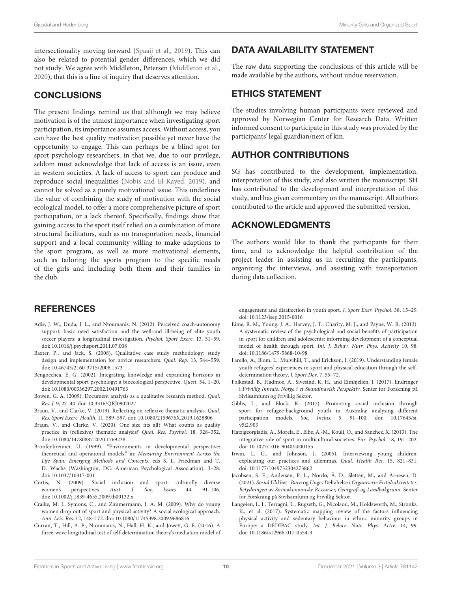intersectionality moving forward [\(Spaaij et al., 2019\)](#page-10-4). This can also be related to potential gender differences, which we did not study. We agree with Middleton, Petersen [\(Middleton et al.,](#page-10-14) [2020\)](#page-10-14), that this is a line of inquiry that deserves attention.

#### **CONCLUSIONS**

The present findings remind us that although we may believe motivation is of the utmost importance when investigating sport participation, its importance assumes access. Without access, you can have the best quality motivation possible yet never have the opportunity to engage. This can perhaps be a blind spot for sport psychology researchers, in that we, due to our privilege, seldom must acknowledge that lack of access is an issue, even in western societies. A lack of access to sport can produce and reproduce social inequalities [\(Nobis and El-Kayed, 2019\)](#page-10-2), and cannot be solved as a purely motivational issue. This underlines the value of combining the study of motivation with the social ecological model, to offer a more comprehensive picture of sport participation, or a lack thereof. Specifically, findings show that gaining access to the sport itself relied on a combination of more structural facilitators, such as no transportation needs, financial support and a local community willing to make adaptions to the sport program, as well as more motivational elements, such as tailoring the sports program to the specific needs of the girls and including both them and their families in the club.

## **REFERENCES**

- <span id="page-9-6"></span>Adie, J. W., Duda, J. L., and Ntoumanis, N. (2012). Perceived coach-autonomy support, basic need satisfaction and the well-and ill-being of elite youth soccer players: a longitudinal investigation. Psychol. Sport Exerc. 13, 51–59. doi: [10.1016/j.psychsport.2011.07.008](https://doi.org/10.1016/j.psychsport.2011.07.008)
- <span id="page-9-8"></span>Baxter, P., and Jack, S. (2008). Qualitative case study methodology: study design and implementation for novice researchers. Qual. Rep. 13, 544–559. doi: [10.46743/2160-3715/2008.1573](https://doi.org/10.46743/2160-3715/2008.1573)
- <span id="page-9-7"></span>Bengoechea, E. G. (2002). Integrating knowledge and expanding horizons in developmental sport psychology: a bioecological perspective. Quest. 54, 1–20. doi: [10.1080/00336297.2002.10491763](https://doi.org/10.1080/00336297.2002.10491763)
- <span id="page-9-12"></span>Bowen, G. A. (2009). Document analysis as a qualitative research method. Qual. Res. J. 9, 27–40. doi: [10.3316/QRJ0902027](https://doi.org/10.3316/QRJ0902027)
- <span id="page-9-10"></span>Braun, V., and Clarke, V. (2019). Reflecting on reflexive thematic analysis. Qual. Res. Sport Exerc. Health. 11, 589–597. doi: [10.1080/2159676X.2019.1628806](https://doi.org/10.1080/2159676X.2019.1628806)
- <span id="page-9-11"></span>Braun, V., and Clarke, V. (2020). One size fits all? What counts as quality practice in (reflexive) thematic analysis? Qual. Res. Psychol. 18, 328–352. doi: [10.1080/14780887.2020.1769238](https://doi.org/10.1080/14780887.2020.1769238)
- <span id="page-9-3"></span>Bronfenbrenner, U. (1999). "Environments in developmental perspective: theoretical and operational models," in: Measuring Environment Across the Life Span: Emerging Methods and Concepts, eds S. L. Friedman and T. D. Wachs (Washington, DC: American Psychological Association), 3–28. doi: [10.1037/10317-001](https://doi.org/10.1037/10317-001)
- <span id="page-9-14"></span>Cortis, N. (2009). Social inclusion and sport: culturally diverse women's perspectives. Aust. J. Soc. Issues 44, 91-106. doi: [10.1002/j.1839-4655.2009.tb00132.x](https://doi.org/10.1002/j.1839-4655.2009.tb00132.x)
- <span id="page-9-2"></span>Craike, M. J., Symons, C., and Zimmermann, J. A. M. (2009). Why do young women drop out of sport and physical activity? A social ecological approach. Ann. Leis. Res. 12, 148–172. doi: [10.1080/11745398.2009.9686816](https://doi.org/10.1080/11745398.2009.9686816)
- <span id="page-9-4"></span>Curran, T., Hill, A. P., Ntoumanis, N., Hall, H. K., and Jowett, G. E. (2016). A three-wave longitudinal test of self-determination theory's mediation model of

## DATA AVAILABILITY STATEMENT

The raw data supporting the conclusions of this article will be made available by the authors, without undue reservation.

#### ETHICS STATEMENT

The studies involving human participants were reviewed and approved by Norwegian Center for Research Data. Written informed consent to participate in this study was provided by the participants' legal guardian/next of kin.

## AUTHOR CONTRIBUTIONS

SG has contributed to the development, implementation, interpretation of this study, and also written the manuscript. SH has contributed to the development and interpretation of this study, and has given commentary on the manuscript. All authors contributed to the article and approved the submitted version.

#### ACKNOWLEDGMENTS

The authors would like to thank the participants for their time, and to acknowledge the helpful contribution of the project leader in assisting us in recruiting the participants, organizing the interviews, and assisting with transportation during data collection.

engagement and disaffection in youth sport. J. Sport Exer. Psychol. 38, 15–29. doi: [10.1123/jsep.2015-0016](https://doi.org/10.1123/jsep.2015-0016)

- <span id="page-9-0"></span>Eime, R. M., Young, J. A., Harvey, J. T., Charity, M. J., and Payne, W. R. (2013). A systematic review of the psychological and social benefits of participation in sport for children and adolescents: informing development of a conceptual model of health through sport. Int. J. Behav. Nutr. Phys. Activity 10, 98. doi: [10.1186/1479-5868-10-98](https://doi.org/10.1186/1479-5868-10-98)
- <span id="page-9-5"></span>Farello, A., Blom, L., Mulvihill, T., and Erickson, J. (2019). Understanding female youth refugees' experiences in sport and physical education through the selfdetermination theory. J. Sport Dev. 7, 55–72.
- <span id="page-9-16"></span>Folkestad, B., Fladmoe, A., Sivesind, K. H., and Eimhjellen, I. (2017). Endringer i Frivillig Innsats, Norge i et Skandinavisk Perspektiv. Senter for Forskning på Sivilsamfunn og Frivillig Sektor.
- <span id="page-9-1"></span>Gibbs, L., and Block, K. (2017). Promoting social inclusion through sport for refugee-background youth in Australia: analysing different participation models. Soc. Inclus[. 5, 91–100. doi: 10.17645/si.](https://doi.org/10.17645/si.v5i2.903) v5i2.903
- <span id="page-9-17"></span>Hatzigeorgiadis, A., Morela, E., Elbe, A.-M., Kouli, O., and Sanchez, X. (2013). The integrative role of sport in multicultural societies. Eur. Psychol. 18, 191–202. doi: [10.1027/1016-9040/a000155](https://doi.org/10.1027/1016-9040/a000155)
- <span id="page-9-9"></span>Irwin, L. G., and Johnson, J. (2005). Interviewing young children: explicating our practices and dilemmas. Qual. Health Res. 15, 821–831. doi: [10.1177/1049732304273862](https://doi.org/10.1177/1049732304273862)
- <span id="page-9-13"></span>Jacobsen, S. E., Andersen, P. L., Nordø, Å. D., Sletten, M., and Arnesen, D. (2021). Sosial Ulikhet i Barn og Unges Deltahelse i Organiserte Fritidsaktiviteter, Betydningen av Sosioøkonomiske Ressurser, Georgrafi og Landbakgrunn. Senter for Forskning på Sivilsamfunn og Frivillig Sektor.
- <span id="page-9-15"></span>Langøien, L. J., Terragni, L., Rugseth, G., Nicolaou, M., Holdsworth, M., Stronks, K., et al. (2017). Systematic mapping review of the factors influencing physical activity and sedentary behaviour in ethnic minority groups in Europe: a DEDIPAC study. Int. J. Behav. Nutr. Phys. Activ. 14, 99. doi: [10.1186/s12966-017-0554-3](https://doi.org/10.1186/s12966-017-0554-3)